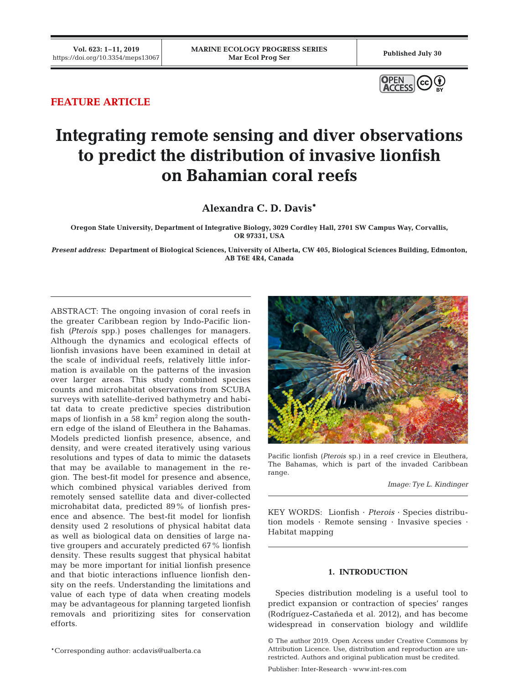

# **FEATURE ARTICLE**

# **Integrating remote sensing and diver observations to predict the distribution of invasive lionfish on Bahamian coral reefs**

**Alexandra C. D. Davis\***

**Oregon State University, Department of Integrative Biology, 3029 Cordley Hall, 2701 SW Campus Way, Corvallis, OR 97331, USA**

*Present address:* **Department of Biological Sciences, University of Alberta, CW 405, Biological Sciences Building, Edmonton, AB T6E 4R4, Canada**

ABSTRACT: The ongoing invasion of coral reefs in the greater Caribbean region by Indo-Pacific lionfish *(Pterois* spp.) poses challenges for managers. Although the dynamics and ecological effects of lionfish invasions have been examined in detail at the scale of individual reefs, relatively little information is available on the patterns of the invasion over larger areas. This study combined species counts and microhabitat observations from SCUBA surveys with satellite-derived bathymetry and habitat data to create predictive species distribution maps of lionfish in a 58  $km^2$  region along the southern edge of the island of Eleuthera in the Bahamas. Models predicted lionfish presence, absence, and density, and were created iteratively using various resolutions and types of data to mimic the datasets that may be available to management in the region. The best-fit model for presence and absence, which combined physical variables derived from remotely sensed satellite data and diver-collected microhabitat data, predicted 89% of lionfish presence and absence. The best-fit model for lionfish density used 2 resolutions of physical habitat data as well as biological data on densities of large native groupers and accurately predicted 67% lionfish density. These results suggest that physical habitat may be more important for initial lionfish presence and that biotic interactions influence lionfish density on the reefs. Understanding the limitations and value of each type of data when creating models may be advantageous for planning targeted lionfish re movals and prioritizing sites for conservation efforts.



Pacific lionfish *(Pterois* sp.) in a reef crevice in Eleuthera, The Bahamas, which is part of the invaded Caribbean range.

*Image: Tye L. Kindinger*

KEY WORDS: Lionfish · *Pterois* · Species distribution models · Remote sensing · Invasive species · Habitat mapping

# **1. INTRODUCTION**

Species distribution modeling is a useful tool to predict expansion or contraction of species' ranges (Rodríguez-Castañeda et al. 2012), and has become widespread in conservation biology and wildlife

© The author 2019. Open Access under Creative Commons by Attribution Licence. Use, distribution and reproduction are unrestricted. Authors and original publication must be credited.

\*Corresponding author: acdavis@ualberta.ca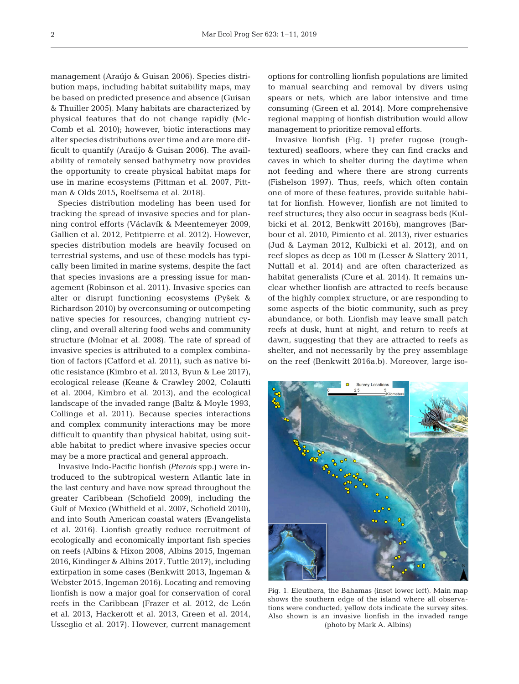management (Araújo & Guisan 2006). Species distribution maps, including habitat suitability maps, may be based on predicted presence and absence (Guisan & Thuiller 2005). Many habitats are characterized by physical features that do not change rapidly (Mc - Comb et al. 2010); however, biotic interactions may alter species distributions over time and are more difficult to quantify (Araújo & Guisan 2006). The availability of remotely sensed bathymetry now provides the opportunity to create physical habitat maps for use in marine ecosystems (Pittman et al. 2007, Pittman & Olds 2015, Roelfsema et al. 2018).

Species distribution modeling has been used for tracking the spread of invasive species and for planning control efforts (Václavík & Meentemeyer 2009, Gallien et al. 2012, Petitpierre et al. 2012). However, species distribution models are heavily focused on terrestrial systems, and use of these models has typically been limited in marine systems, despite the fact that species invasions are a pressing issue for management (Robinson et al. 2011). Invasive species can alter or disrupt functioning ecosystems (Pyšek & Richardson 2010) by overconsuming or outcompeting native species for resources, changing nutrient cycling, and overall altering food webs and community structure (Molnar et al. 2008). The rate of spread of invasive species is attributed to a complex combination of factors (Catford et al. 2011), such as native biotic resistance (Kimbro et al. 2013, Byun & Lee 2017), ecological release (Keane & Crawley 2002, Colautti et al. 2004, Kimbro et al. 2013), and the ecological landscape of the invaded range (Baltz & Moyle 1993, Collinge et al. 2011). Because species interactions and complex community interactions may be more difficult to quantify than physical habitat, using suitable habitat to predict where invasive species occur may be a more practical and general approach.

Invasive Indo-Pacific lionfish *(Pterois* spp.) were introduced to the subtropical western Atlantic late in the last century and have now spread throughout the greater Caribbean (Schofield 2009), including the Gulf of Mexico (Whitfield et al. 2007, Schofield 2010), and into South American coastal waters (Evangelista et al. 2016). Lionfish greatly reduce recruitment of ecologically and economically important fish species on reefs (Albins & Hixon 2008, Albins 2015, Ingeman 2016, Kindinger & Albins 2017, Tuttle 2017), including extirpation in some cases (Benkwitt 2013, Ingeman & Webster 2015, Ingeman 2016). Locating and removing lionfish is now a major goal for conservation of coral reefs in the Caribbean (Frazer et al. 2012, de León et al. 2013, Hackerott et al. 2013, Green et al. 2014, Usseglio et al. 2017). However, current management options for controlling lionfish populations are limited to manual searching and removal by divers using spears or nets, which are labor intensive and time consuming (Green et al. 2014). More comprehensive regional mapping of lionfish distribution would allow management to prioritize removal efforts.

Invasive lionfish (Fig. 1) prefer rugose (roughtextured) seafloors, where they can find cracks and caves in which to shelter during the daytime when not feeding and where there are strong currents (Fishelson 1997). Thus, reefs, which often contain one of more of these features, provide suitable habitat for lionfish. However, lionfish are not limited to reef structures; they also occur in seagrass beds (Kulbicki et al. 2012, Benkwitt 2016b), mangroves (Barbour et al. 2010, Pimiento et al. 2013), river estuaries (Jud & Layman 2012, Kulbicki et al. 2012), and on reef slopes as deep as 100 m (Lesser & Slattery 2011, Nuttall et al. 2014) and are often characterized as habitat generalists (Cure et al. 2014). It remains un clear whether lionfish are attracted to reefs because of the highly complex structure, or are responding to some aspects of the biotic community, such as prey abundance, or both. Lionfish may leave small patch reefs at dusk, hunt at night, and return to reefs at dawn, suggesting that they are attracted to reefs as shelter, and not necessarily by the prey assemblage on the reef (Benkwitt 2016a,b). Moreover, large iso-



Fig. 1. Eleuthera, the Bahamas (inset lower left). Main map shows the southern edge of the island where all observations were conducted; yellow dots indicate the survey sites. Also shown is an invasive lionfish in the invaded range (photo by Mark A. Albins)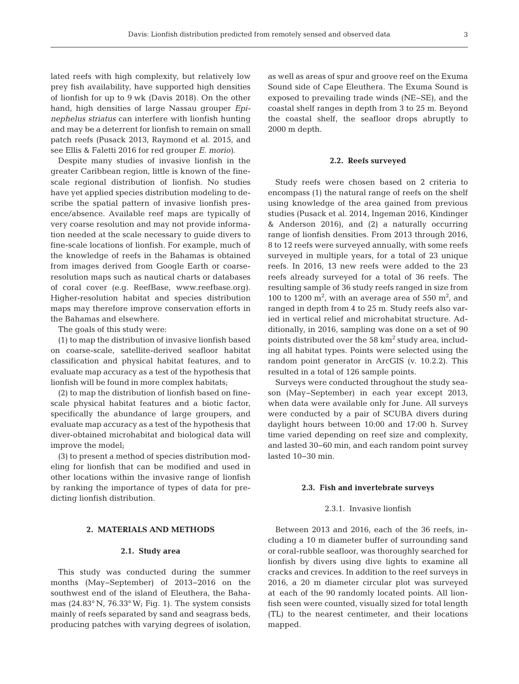3

lated reefs with high complexity, but relatively low prey fish availability, have supported high densities of lionfish for up to 9 wk (Davis 2018). On the other hand, high densities of large Nassau grouper *Epinephelus striatus* can interfere with lionfish hunting and may be a deterrent for lionfish to remain on small patch reefs (Pusack 2013, Raymond et al. 2015, and see Ellis & Faletti 2016 for red grouper *E. morio)*.

Despite many studies of invasive lionfish in the greater Caribbean region, little is known of the finescale regional distribution of lionfish. No studies have yet applied species distribution modeling to de scribe the spatial pattern of invasive lionfish presence/ absence. Available reef maps are typically of very coarse resolution and may not provide information needed at the scale necessary to guide divers to fine-scale locations of lionfish. For example, much of the knowledge of reefs in the Bahamas is obtained from images derived from Google Earth or coarseresolution maps such as nautical charts or databases of coral cover (e.g. ReefBase, www.reefbase.org). Higher-resolution habitat and species distribution maps may therefore improve conservation efforts in the Bahamas and elsewhere.

The goals of this study were:

(1) to map the distribution of invasive lionfish based on coarse-scale, satellite-derived seafloor habitat classification and physical habitat features, and to evaluate map accuracy as a test of the hypothesis that lionfish will be found in more complex habitats;

(2) to map the distribution of lionfish based on finescale physical habitat features and a biotic factor, specifically the abundance of large groupers, and evaluate map accuracy as a test of the hypothesis that diver-obtained microhabitat and biological data will improve the model;

(3) to present a method of species distribution modeling for lionfish that can be modified and used in other locations within the invasive range of lionfish by ranking the importance of types of data for predicting lionfish distribution.

# **2. MATERIALS AND METHODS**

#### **2.1. Study area**

This study was conducted during the summer months (May−September) of 2013−2016 on the southwest end of the island of Eleuthera, the Bahamas (24.83° N, 76.33° W; Fig. 1). The system consists mainly of reefs separated by sand and seagrass beds, producing patches with varying degrees of isolation,

as well as areas of spur and groove reef on the Exuma Sound side of Cape Eleuthera. The Exuma Sound is exposed to prevailing trade winds (NE−SE), and the coastal shelf ranges in depth from 3 to 25 m. Beyond the coastal shelf, the seafloor drops abruptly to 2000 m depth.

#### **2.2. Reefs surveyed**

Study reefs were chosen based on 2 criteria to encompass (1) the natural range of reefs on the shelf using knowledge of the area gained from previous studies (Pusack et al. 2014, Ingeman 2016, Kindinger & Anderson 2016), and (2) a naturally occurring range of lionfish densities. From 2013 through 2016, 8 to 12 reefs were surveyed annually, with some reefs surveyed in multiple years, for a total of 23 unique reefs. In 2016, 13 new reefs were added to the 23 reefs already surveyed for a total of 36 reefs. The resulting sample of 36 study reefs ranged in size from 100 to 1200  $\mathrm{m}^2$ , with an average area of 550  $\mathrm{m}^2$ , and ranged in depth from 4 to 25 m. Study reefs also varied in vertical relief and microhabitat structure. Additionally, in 2016, sampling was done on a set of 90 points distributed over the 58 km<sup>2</sup> study area, including all habitat types. Points were selected using the random point generator in ArcGIS (v. 10.2.2). This resulted in a total of 126 sample points.

Surveys were conducted throughout the study season (May−September) in each year except 2013, when data were available only for June. All surveys were conducted by a pair of SCUBA divers during daylight hours between 10:00 and 17:00 h. Survey time varied depending on reef size and complexity, and lasted 30−60 min, and each random point survey lasted 10−30 min.

#### **2.3. Fish and invertebrate surveys**

# 2.3.1. Invasive lionfish

Between 2013 and 2016, each of the 36 reefs, including a 10 m diameter buffer of surrounding sand or coral-rubble seafloor, was thoroughly searched for lionfish by divers using dive lights to examine all cracks and crevices. In addition to the reef surveys in 2016, a 20 m diameter circular plot was surveyed at each of the 90 randomly located points. All lionfish seen were counted, visually sized for total length (TL) to the nearest centimeter, and their locations mapped.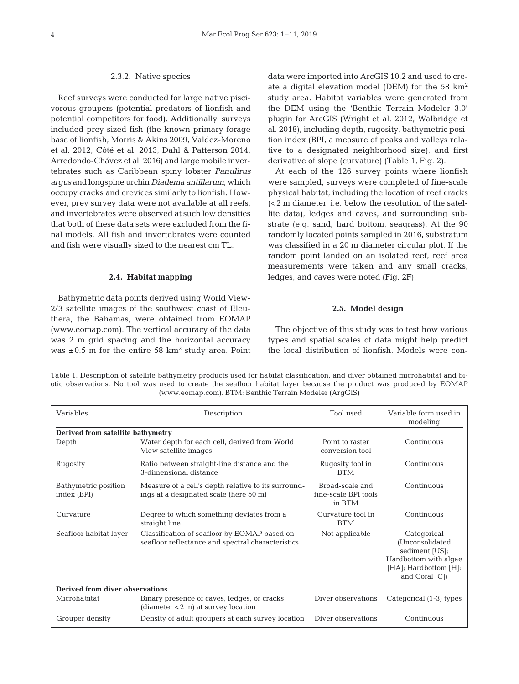#### 2.3.2. Native species

Reef surveys were conducted for large native pisci vorous groupers (potential predators of lionfish and potential competitors for food). Additionally, surveys included prey-sized fish (the known primary forage base of lionfish; Morris & Akins 2009, Valdez-Moreno et al. 2012, Côté et al. 2013, Dahl & Patterson 2014, Arredondo-Chávez et al. 2016) and large mobile invertebrates such as Caribbean spiny lobster *Panulirus argus* and longspine urchin *Diadema antillarum*, which occupy cracks and crevices similarly to lionfish. How ever, prey survey data were not available at all reefs, and invertebrates were observed at such low densities that both of these data sets were excluded from the final models. All fish and invertebrates were counted and fish were visually sized to the nearest cm TL.

#### **2.4. Habitat mapping**

Bathymetric data points derived using World View-2/3 satellite images of the southwest coast of Eleuthera, the Bahamas, were obtained from EOMAP (www. eomap.com). The vertical accuracy of the data was 2 m grid spacing and the horizontal accuracy was  $\pm 0.5$  m for the entire 58 km<sup>2</sup> study area. Point data were imported into ArcGIS 10.2 and used to create a digital elevation model (DEM) for the 58  $\text{km}^2$ study area. Habitat variables were generated from the DEM using the 'Benthic Terrain Modeler 3.0' plugin for ArcGIS (Wright et al. 2012, Walbridge et al. 2018), including depth, rugosity, bathymetric position index (BPI, a measure of peaks and valleys relative to a designated neighborhood size), and first derivative of slope (curvature) (Table 1, Fig. 2).

At each of the 126 survey points where lionfish were sampled, surveys were completed of fine-scale physical habitat, including the location of reef cracks (<2 m diameter, i.e. below the resolution of the satellite data), ledges and caves, and surrounding substrate (e.g. sand, hard bottom, seagrass). At the 90 randomly located points sampled in 2016, substratum was classified in a 20 m diameter circular plot. If the random point landed on an isolated reef, reef area measurements were taken and any small cracks, ledges, and caves were noted (Fig. 2F).

## **2.5. Model design**

The objective of this study was to test how various types and spatial scales of data might help predict the local distribution of lionfish. Models were con-

Table 1. Description of satellite bathymetry products used for habitat classification, and diver obtained microhabitat and biotic observations. No tool was used to create the seafloor habitat layer because the product was produced by EOMAP (www.eomap.com). BTM: Benthic Terrain Modeler (ArgGIS)

| Variables                           | Description                                                                                       | Tool used                                         | Variable form used in<br>modeling                                                                                     |  |  |  |  |  |  |
|-------------------------------------|---------------------------------------------------------------------------------------------------|---------------------------------------------------|-----------------------------------------------------------------------------------------------------------------------|--|--|--|--|--|--|
| Derived from satellite bathymetry   |                                                                                                   |                                                   |                                                                                                                       |  |  |  |  |  |  |
| Depth                               | Water depth for each cell, derived from World<br>View satellite images                            | Point to raster<br>conversion tool                | Continuous                                                                                                            |  |  |  |  |  |  |
| Rugosity                            | Ratio between straight-line distance and the<br>3-dimensional distance                            | Rugosity tool in<br><b>BTM</b>                    | Continuous                                                                                                            |  |  |  |  |  |  |
| Bathymetric position<br>index (BPI) | Measure of a cell's depth relative to its surround-<br>ings at a designated scale (here 50 m)     | Broad-scale and<br>fine-scale BPI tools<br>in BTM | Continuous                                                                                                            |  |  |  |  |  |  |
| Curvature                           | Degree to which something deviates from a<br>straight line                                        | Curvature tool in<br><b>BTM</b>                   | Continuous                                                                                                            |  |  |  |  |  |  |
| Seafloor habitat layer              | Classification of seafloor by EOMAP based on<br>seafloor reflectance and spectral characteristics | Not applicable                                    | Categorical<br>(Unconsolidated<br>sediment [US];<br>Hardbottom with algae<br>[HA]; Hardbottom [H];<br>and Coral $[C]$ |  |  |  |  |  |  |
| Derived from diver observations     |                                                                                                   |                                                   |                                                                                                                       |  |  |  |  |  |  |
| Microhabitat                        | Binary presence of caves, ledges, or cracks<br>$(diameter 2m) at survey location$                 | Diver observations                                | Categorical (1-3) types                                                                                               |  |  |  |  |  |  |
| Grouper density                     | Density of adult groupers at each survey location                                                 | Diver observations                                | Continuous                                                                                                            |  |  |  |  |  |  |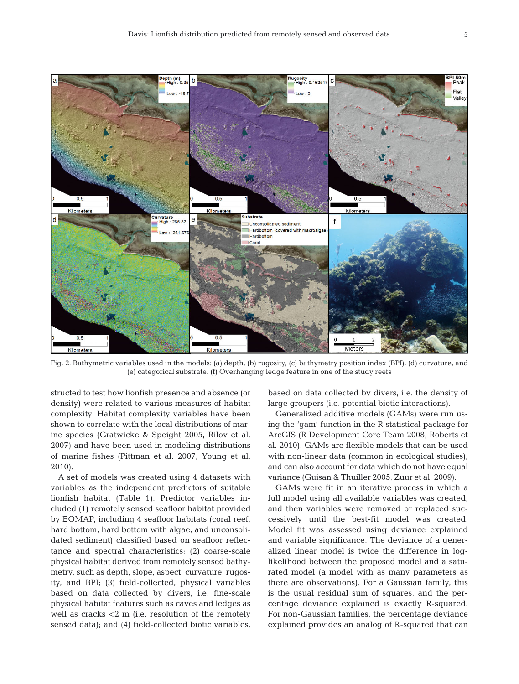

Fig. 2. Bathymetric variables used in the models: (a) depth, (b) rugosity, (c) bathymetry position index (BPI), (d) curvature, and (e) categorical substrate. (f) Overhanging ledge feature in one of the study reefs

structed to test how lionfish presence and absence (or density) were related to various measures of habitat complexity. Habitat complexity variables have been shown to correlate with the local distributions of marine species (Gratwicke & Speight 2005, Rilov et al. 2007) and have been used in modeling distributions of marine fishes (Pittman et al. 2007, Young et al. 2010).

A set of models was created using 4 datasets with variables as the independent predictors of suitable lionfish habitat (Table 1). Predictor variables in cluded (1) remotely sensed seafloor habitat provided by EOMAP, including 4 seafloor habitats (coral reef, hard bottom, hard bottom with algae, and unconsolidated sediment) classified based on seafloor reflectance and spectral characteristics; (2) coarse-scale physical habitat derived from remotely sensed bathy metry, such as depth, slope, aspect, curvature, rugosity, and BPI; (3) field-collected, physical variables based on data collected by divers, i.e. fine-scale physical habitat features such as caves and ledges as well as cracks <2 m (i.e. resolution of the remotely sensed data); and (4) field-collected biotic variables,

based on data collected by divers, i.e. the density of large groupers (i.e. potential biotic interactions).

Generalized additive models (GAMs) were run using the 'gam' function in the R statistical package for ArcGIS (R Development Core Team 2008, Roberts et al. 2010). GAMs are flexible models that can be used with non-linear data (common in ecological studies), and can also account for data which do not have equal variance (Guisan & Thuiller 2005, Zuur et al. 2009).

GAMs were fit in an iterative process in which a full model using all available variables was created, and then variables were removed or replaced successively until the best-fit model was created. Model fit was assessed using deviance explained and variable significance. The deviance of a generalized linear model is twice the difference in loglikelihood between the proposed model and a saturated model (a model with as many parameters as there are observations). For a Gaussian family, this is the usual residual sum of squares, and the percentage deviance explained is exactly R-squared. For non-Gaussian families, the percentage deviance explained provides an analog of R-squared that can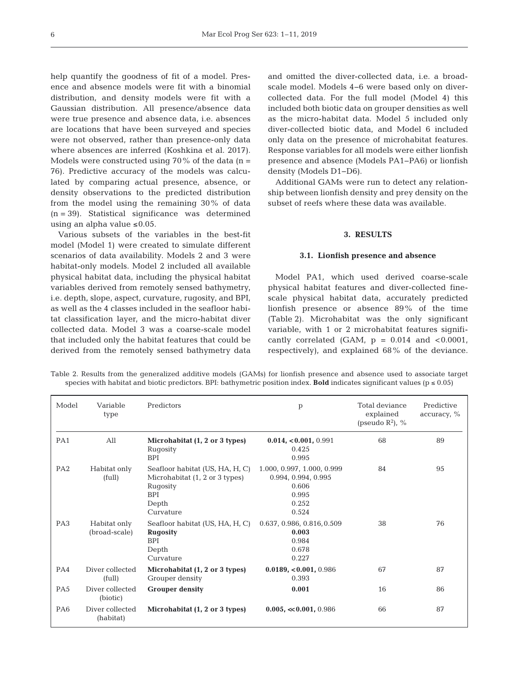help quantify the goodness of fit of a model. Presence and absence models were fit with a binomial distribution, and density models were fit with a Gaussian distribution. All presence/absence data were true presence and absence data, i.e. absences are locations that have been surveyed and species were not observed, rather than presence-only data where absences are inferred (Koshkina et al. 2017). Models were constructed using 70% of the data  $(n =$ 76). Predictive accuracy of the models was calculated by comparing actual presence, absence, or density observations to the predicted distribution from the model using the remaining 30% of data (n = 39). Statistical significance was determined using an alpha value  $\leq 0.05$ .

Various subsets of the variables in the best-fit model (Model 1) were created to simulate different scenarios of data availability. Models 2 and 3 were habitat-only models. Model 2 included all available physical habitat data, including the physical habitat variables derived from remotely sensed bathymetry, i.e. depth, slope, aspect, curvature, rugosity, and BPI, as well as the 4 classes included in the seafloor habitat classification layer, and the micro-habitat diver collected data. Model 3 was a coarse-scale model that included only the habitat features that could be derived from the remotely sensed bathymetry data

and omitted the diver-collected data, i.e. a broadscale model. Models 4−6 were based only on divercollected data. For the full model (Model 4) this included both biotic data on grouper densities as well as the micro-habitat data. Model 5 included only diver-collected biotic data, and Model 6 included only data on the presence of microhabitat features. Response variables for all models were either lionfish presence and absence (Models PA1−PA6) or lionfish density (Models D1−D6).

Additional GAMs were run to detect any relationship between lionfish density and prey density on the subset of reefs where these data was available.

# **3. RESULTS**

#### **3.1. Lionfish presence and absence**

Model PA1, which used derived coarse-scale physical habitat features and diver-collected finescale physical habitat data, accurately predicted lion fish presence or absence 89% of the time (Table 2). Microhabitat was the only significant variable, with 1 or 2 microhabitat features significantly correlated (GAM,  $p = 0.014$  and  $< 0.0001$ , respectively), and explained 68% of the deviance.

| Table 2. Results from the generalized additive models (GAMs) for lionfish presence and absence used to associate target                |  |  |  |  |  |  |
|----------------------------------------------------------------------------------------------------------------------------------------|--|--|--|--|--|--|
| species with habitat and biotic predictors. BPI: bathymetric position index. <b>Bold</b> indicates significant values ( $p \le 0.05$ ) |  |  |  |  |  |  |

| Model           | Variable<br>type              | Predictors                                                                                                        | p                                                                                     | Total deviance<br>explained<br>(pseudo $R^2$ ), % | Predictive<br>$\alpha$ ccuracy, % |
|-----------------|-------------------------------|-------------------------------------------------------------------------------------------------------------------|---------------------------------------------------------------------------------------|---------------------------------------------------|-----------------------------------|
| PA1             | $A$ ll                        | Microhabitat (1, 2 or 3 types)<br>Rugosity<br><b>BPI</b>                                                          | $0.014, 0.001, 0.991$<br>0.425<br>0.995                                               | 68                                                | 89                                |
| PA <sub>2</sub> | Habitat only<br>(full)        | Seafloor habitat (US, HA, H, C)<br>Microhabitat (1, 2 or 3 types)<br>Rugosity<br><b>BPI</b><br>Depth<br>Curvature | 1.000, 0.997, 1.000, 0.999<br>0.994, 0.994, 0.995<br>0.606<br>0.995<br>0.252<br>0.524 | 84                                                | 95                                |
| PA <sub>3</sub> | Habitat only<br>(broad-scale) | Seafloor habitat (US, HA, H, C)<br><b>Rugosity</b><br><b>BPI</b><br>Depth<br>Curvature                            | 0.637, 0.986, 0.816, 0.509<br>0.003<br>0.984<br>0.678<br>0.227                        | 38                                                | 76                                |
| PA4             | Diver collected<br>(full)     | Microhabitat (1, 2 or 3 types)<br>Grouper density                                                                 | 0.0189, <0.001, 0.986<br>0.393                                                        | 67                                                | 87                                |
| PA <sub>5</sub> | Diver collected<br>(biotic)   | <b>Grouper density</b>                                                                                            | 0.001                                                                                 | 16                                                | 86                                |
| PA <sub>6</sub> | Diver collected<br>(habitat)  | Microhabitat (1, 2 or 3 types)                                                                                    | $0.005, \ll 0.001, 0.986$                                                             | 66                                                | 87                                |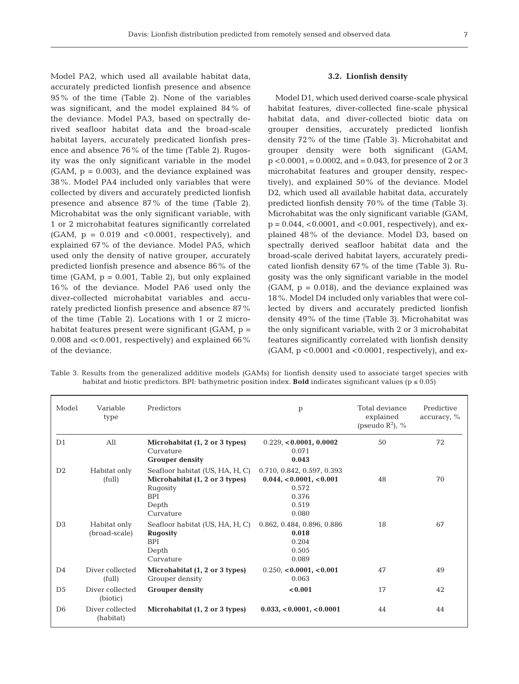Model PA2, which used all available habitat data, accurately predicted lionfish presence and absence 95% of the time (Table 2). None of the variables was significant, and the model explained 84% of the deviance. Model PA3, based on spectrally derived seafloor habitat data and the broad-scale habitat layers, accurately predicated lionfish presence and absence 76% of the time (Table 2). Rugosity was the only significant variable in the model  $(GAM, p = 0.003)$ , and the deviance explained was 38%. Model PA4 included only variables that were collected by divers and accurately predicted lionfish presence and absence 87% of the time (Table 2). Microhabitat was the only significant variable, with 1 or 2 microhabitat features significantly correlated  $(GAM, p = 0.019$  and  $< 0.0001$ , respectively), and explained 67% of the deviance. Model PA5, which used only the density of native grouper, accurately predicted lionfish presence and absence 86% of the time (GAM,  $p = 0.001$ , Table 2), but only explained 16% of the deviance. Model PA6 used only the diver-collected microhabitat variables and accurately predicted lionfish presence and absence 87% of the time (Table 2). Locations with 1 or 2 microhabitat features present were significant (GAM, p = 0.008 and  $\ll$  0.001, respectively) and explained 66% of the deviance.

#### **3.2. Lionfish density**

Model D1, which used derived coarse-scale physical habitat features, diver-collected fine-scale physical habitat data, and diver-collected biotic data on grouper densities, accurately predicted lionfish density 72% of the time (Table 3). Microhabitat and grouper density were both significant (GAM,  $p < 0.0001$ , = 0.0002, and = 0.043, for presence of 2 or 3 microhabitat features and grouper density, respectively), and explained  $50\%$  of the deviance. Model D2, which used all available habitat data, accurately predicted lionfish density 70% of the time (Table 3). Microhabitat was the only significant variable (GAM,  $p = 0.044$ , <0.0001, and <0.001, respectively), and explained 48% of the deviance. Model D3, based on spectrally derived seafloor habitat data and the broad-scale derived habitat layers, accurately predicated lionfish density 67% of the time (Table 3). Rugosity was the only significant variable in the model  $(GAM, p = 0.018)$ , and the deviance explained was 18%. Model D4 included only variables that were collected by divers and accurately predicted lionfish density 49% of the time (Table 3). Microhabitat was the only significant variable, with 2 or 3 microhabitat features significantly correlated with lionfish density  $(GAM, p < 0.0001$  and  $< 0.0001$ , respectively), and ex-

| Model          | Variable<br>type              | Predictors                                                                                                        | $\mathbf{p}$                                                                              | Total deviance<br>explained<br>(pseudo $R^2$ ), % | Predictive<br>$\alpha$ ccuracy, % |
|----------------|-------------------------------|-------------------------------------------------------------------------------------------------------------------|-------------------------------------------------------------------------------------------|---------------------------------------------------|-----------------------------------|
| D <sub>1</sub> | All                           | Microhabitat (1, 2 or 3 types)<br>Curvature<br><b>Grouper density</b>                                             | 0.229, <b><i>0.0001</i></b> , 0.0002<br>0.071<br>0.043                                    | 50                                                | 72                                |
| D2             | Habitat only<br>(full)        | Seafloor habitat (US, HA, H, C)<br>Microhabitat (1, 2 or 3 types)<br>Rugosity<br><b>BPI</b><br>Depth<br>Curvature | 0.710, 0.842, 0.597, 0.393<br>$0.044, 0.0001, <0.001$<br>0.572<br>0.376<br>0.519<br>0.080 | 48                                                | 70                                |
| D <sub>3</sub> | Habitat only<br>(broad-scale) | Seafloor habitat (US, HA, H, C)<br><b>Rugosity</b><br><b>BPI</b><br>Depth<br>Curvature                            | 0.862, 0.484, 0.896, 0.886<br>0.018<br>0.204<br>0.505<br>0.089                            | 18                                                | 67                                |
| D <sub>4</sub> | Diver collected<br>(full)     | Microhabitat (1, 2 or 3 types)<br>Grouper density                                                                 | $0.250, 0.0001, 0.001$<br>0.063                                                           | 47                                                | 49                                |
| D <sub>5</sub> | Diver collected<br>(biotic)   | <b>Grouper density</b>                                                                                            | < 0.001                                                                                   | 17                                                | 42                                |
| D <sub>6</sub> | Diver collected<br>(habitat)  | Microhabitat (1, 2 or 3 types)                                                                                    | 0.033, <0.0001, <0.0001                                                                   | 44                                                | 44                                |
|                |                               |                                                                                                                   |                                                                                           |                                                   |                                   |

Table 3. Results from the generalized additive models (GAMs) for lionfish density used to associate target species with habitat and biotic predictors. BPI: bathymetric position index. **Bold** indicates significant values ( $p \le 0.05$ )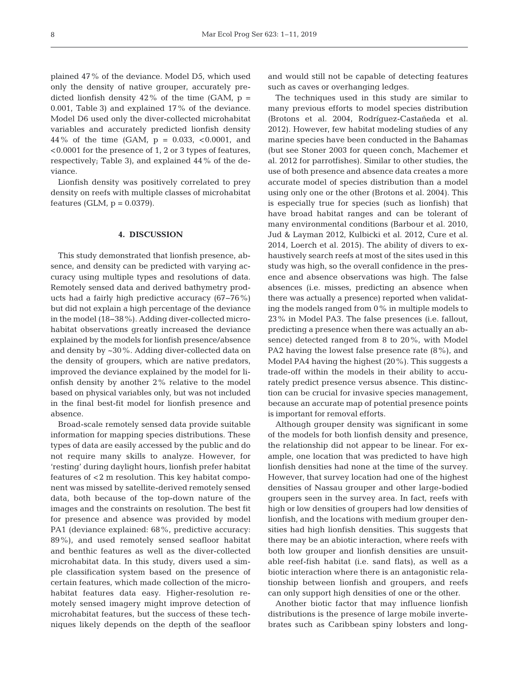plained 47% of the deviance. Model D5, which used only the density of native grouper, accurately predicted lionfish density  $42\%$  of the time (GAM,  $p =$ 0.001, Table 3) and explained 17% of the deviance. Model D6 used only the diver-collected microhabitat variables and accurately predicted lionfish density 44% of the time (GAM,  $p = 0.033$ , <0.0001, and <0.0001 for the presence of 1, 2 or 3 types of features, respectively; Table 3), and explained 44% of the deviance.

Lionfish density was positively correlated to prey density on reefs with multiple classes of microhabitat features (GLM,  $p = 0.0379$ ).

# **4. DISCUSSION**

This study demonstrated that lionfish presence, ab sence, and density can be predicted with varying accuracy using multiple types and resolutions of data. Remotely sensed data and derived bathymetry products had a fairly high predictive accuracy (67−76%) but did not explain a high percentage of the deviance in the model (18−38%). Adding diver-collected micro habitat observations greatly increased the deviance explained by the models for lionfish presence/absence and density by  $\sim$  30%. Adding diver-collected data on the density of groupers, which are native predators, improved the deviance explained by the model for lionfish density by another 2% relative to the model based on physical variables only, but was not included in the final best-fit model for lionfish presence and absence.

Broad-scale remotely sensed data provide suitable information for mapping species distributions. These types of data are easily accessed by the public and do not require many skills to analyze. However, for 'resting' during daylight hours, lionfish prefer habitat features of <2 m resolution. This key habitat component was missed by satellite-derived remotely sensed data, both because of the top-down nature of the images and the constraints on resolution. The best fit for presence and absence was provided by model PA1 (deviance explained: 68%, predictive accuracy: 89%), and used remotely sensed seafloor habitat and benthic features as well as the diver-collected microhabitat data. In this study, divers used a simple classification system based on the presence of certain features, which made collection of the microhabitat features data easy. Higher-resolution remotely sensed imagery might improve detection of microhabitat features, but the success of these techniques likely depends on the depth of the seafloor and would still not be capable of detecting features such as caves or overhanging ledges.

The techniques used in this study are similar to many previous efforts to model species distribution (Brotons et al. 2004, Rodríguez-Castañeda et al. 2012). However, few habitat modeling studies of any marine species have been conducted in the Bahamas (but see Stoner 2003 for queen conch, Machemer et al. 2012 for parrotfishes). Similar to other studies, the use of both presence and absence data creates a more accurate model of species distribution than a model using only one or the other (Brotons et al. 2004). This is especially true for species (such as lionfish) that have broad habitat ranges and can be tolerant of many environmental conditions (Barbour et al. 2010, Jud & Layman 2012, Kulbicki et al. 2012, Cure et al. 2014, Loerch et al. 2015). The ability of divers to exhaustively search reefs at most of the sites used in this study was high, so the overall confidence in the presence and absence observations was high. The false absences (i.e. misses, predicting an absence when there was actually a presence) reported when validating the models ranged from 0% in multiple models to 23% in Model PA3. The false presences (i.e. fallout, predicting a presence when there was actually an absence) detected ranged from 8 to 20%, with Model PA2 having the lowest false presence rate (8%), and Model PA4 having the highest (20%). This suggests a trade-off within the models in their ability to accurately predict presence versus absence. This distinction can be crucial for invasive species management, because an accurate map of potential presence points is important for removal efforts.

Although grouper density was significant in some of the models for both lionfish density and presence, the relationship did not appear to be linear. For example, one location that was predicted to have high lionfish densities had none at the time of the survey. However, that survey location had one of the highest densities of Nassau grouper and other large-bodied groupers seen in the survey area. In fact, reefs with high or low densities of groupers had low densities of lionfish, and the locations with medium grouper densities had high lionfish densities. This suggests that there may be an abiotic interaction, where reefs with both low grouper and lionfish densities are unsuitable reef-fish habitat (i.e. sand flats), as well as a biotic interaction where there is an antagonistic relationship between lionfish and groupers, and reefs can only support high densities of one or the other.

Another biotic factor that may influence lionfish distributions is the presence of large mobile invertebrates such as Caribbean spiny lobsters and long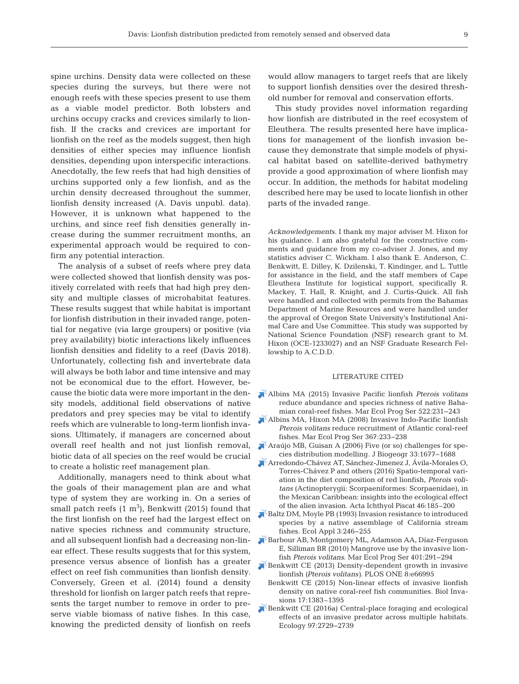spine urchins. Density data were collected on these species during the surveys, but there were not enough reefs with these species present to use them as a viable model predictor. Both lobsters and urchins occupy cracks and crevices similarly to lionfish. If the cracks and crevices are important for lionfish on the reef as the models suggest, then high densities of either species may influence lionfish densities, depending upon interspecific interactions. Anecdotally, the few reefs that had high densities of urchins supported only a few lionfish, and as the urchin density decreased throughout the summer, lionfish density increased (A. Davis unpubl. data). However, it is unknown what happened to the urchins, and since reef fish densities generally increase during the summer recruitment months, an experimental approach would be required to confirm any potential interaction.

The analysis of a subset of reefs where prey data were collected showed that lionfish density was positively correlated with reefs that had high prey density and multiple classes of microhabitat features. These results suggest that while habitat is important for lionfish distribution in their invaded range, potential for negative (via large groupers) or positive (via prey availability) biotic interactions likely influences lionfish densities and fidelity to a reef (Davis 2018). Unfortunately, collecting fish and invertebrate data will always be both labor and time intensive and may not be economical due to the effort. However, be cause the biotic data were more important in the density models, additional field observations of native predators and prey species may be vital to identify reefs which are vulnerable to long-term lionfish invasions. Ultimately, if managers are concerned about overall reef health and not just lionfish removal, biotic data of all species on the reef would be crucial to create a holistic reef management plan.

Additionally, managers need to think about what the goals of their management plan are and what type of system they are working in. On a series of small patch reefs  $(1 \text{ m}^3)$ , Benkwitt (2015) found that the first lionfish on the reef had the largest effect on native species richness and community structure, and all subsequent lionfish had a decreasing non-linear effect. These results suggests that for this system, presence versus absence of lionfish has a greater effect on reef fish communities than lionfish density. Conversely, Green et al. (2014) found a density threshold for lionfish on larger patch reefs that represents the target number to remove in order to preserve viable biomass of native fishes. In this case, knowing the predicted density of lionfish on reefs

would allow managers to target reefs that are likely to support lionfish densities over the desired threshold number for removal and conservation efforts.

This study provides novel information regarding how lionfish are distributed in the reef ecosystem of Eleuthera. The results presented here have implications for management of the lionfish invasion be cause they demonstrate that simple models of physical habitat based on satellite-derived bathymetry provide a good approximation of where lionfish may occur. In addition, the methods for habitat modeling described here may be used to locate lionfish in other parts of the invaded range.

*Acknowledgements.* I thank my major adviser M. Hixon for his guidance. I am also grateful for the constructive comments and guidance from my co-adviser J. Jones, and my statistics adviser C. Wickham. I also thank E. Anderson, C. Benkwitt, E. Dilley, K. Dzilenski, T. Kindinger, and L. Tuttle for assistance in the field, and the staff members of Cape Eleuthera Institute for logistical support, specifically R. Mackey, T. Hall, R. Knight, and J. Curtis-Quick. All fish were handled and collected with permits from the Bahamas Department of Marine Resources and were handled under the approval of Oregon State University's Institutional Animal Care and Use Committee. This study was supported by National Science Foundation (NSF) research grant to M. Hixon (OCE-1233027) and an NSF Graduate Research Fellowship to A.C.D.D.

## LITERATURE CITED

- [Albins MA \(2015\) Invasive Pacific lionfish](https://doi.org/10.3354/meps11159) *Pterois volitans* reduce abundance and species richness of native Baha mian coral-reef fishes. Mar Ecol Prog Ser 522:231-243
- [Albins MA, Hixon MA \(2008\) Invasive Indo-Pacific lionfish](https://doi.org/10.3354/meps07620) *Pterois volitans* reduce recruitment of Atlantic coral-reef fishes. Mar Ecol Prog Ser 367: 233−238
- [Araújo MB, Guisan A \(2006\) Five \(or so\) challenges for spe](https://doi.org/10.1111/j.1365-2699.2006.01584.x)cies distribution modelling. J Biogeogr 33: 1677−1688
- [Arredondo-Chávez AT, Sánchez-Jimenez J, Ávila-Morales O,](https://doi.org/10.3750/AIP2016.46.3.03) Torres-Chávez P and others (2016) Spatio-temporal variation in the diet composition of red lionfish, *Pterois volitans* (Actinopterygii: Scorpaeniformes: Scorpaenidae), in the Mexican Caribbean: insights into the ecological effect of the alien invasion. Acta Ichthyol Piscat 46:185–200
- [Baltz DM, Moyle PB \(1993\) Invasion resistance to introduced](https://doi.org/10.2307/1941827) species by a native assemblage of California stream fishes. Ecol Appl 3: 246−255
- [Barbour AB, Montgomery ML, Adamson AA, Díaz-Ferguson](https://doi.org/10.3354/meps08373) E, Silliman BR (2010) Mangrove use by the invasive lionfish *Pterois volitans*. Mar Ecol Prog Ser 401: 291−294
- [Benkwitt CE \(2013\) Density-dependent growth in invasive](https://doi.org/10.1371/journal.pone.0066995) lionfish *(Pterois volitans)*. PLOS ONE 8:e66995
	- Benkwitt CE (2015) Non-linear effects of invasive lionfish density on native coral-reef fish communities. Biol Invasions 17:1383–1395
- [Benkwitt CE \(2016a\) Central-place foraging and ecological](https://doi.org/10.1002/ecy.1477) effects of an invasive predator across multiple habitats. Ecology 97: 2729−2739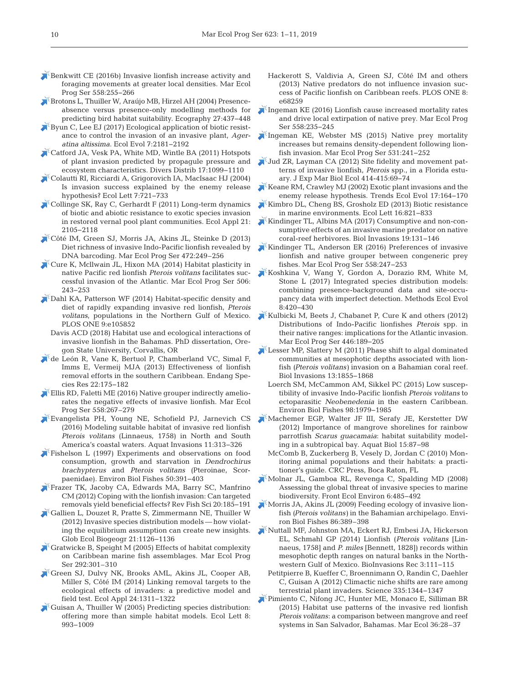- $\blacktriangleright$  [Benkwitt CE \(2016b\) Invasive lionfish increase activity and](https://doi.org/10.3354/meps11760) foraging movements at greater local densities. Mar Ecol Prog Ser 558:255-266
- [Brotons L, Thuiller W, Araújo MB, Hirzel AH \(2004\) Presence](https://doi.org/10.1111/j.0906-7590.2004.03764.x)absence versus presence-only modelling methods for predicting bird habitat suitability. Ecography 27:437–448
- [Byun C, Lee EJ \(2017\) Ecological application of biotic resist](https://doi.org/10.1002/ece3.2799)ance to control the invasion of an invasive plant, *Ageratina altissima*. Ecol Evol 7: 2181−2192
- [Catford JA, Vesk PA, White MD, Wintle BA \(2011\) Hotspots](https://doi.org/10.1111/j.1472-4642.2011.00794.x) of plant invasion predicted by propagule pressure and ecosystem characteristics. Divers Distrib 17: 1099−1110
- [Colautti RI, Ricciardi A, Grigorovich IA, MacIsaac HJ \(2004\)](https://doi.org/10.1111/j.1461-0248.2004.00616.x) Is invasion success explained by the enemy release hypothesis? Ecol Lett 7:721-733
- [Collinge SK, Ray C, Gerhardt F \(2011\) Long-term dynamics](https://doi.org/10.1890/10-1094.1) of biotic and abiotic resistance to exotic species invasion in restored vernal pool plant communities. Ecol Appl 21: 2105−2118
- [Côté IM, Green SJ, Morris JA, Akins JL, Steinke D \(2013\)](https://doi.org/10.3354/meps09992) Diet richness of invasive Indo-Pacific lionfish revealed by DNA barcoding. Mar Ecol Prog Ser 472:249–256
- [Cure K, Mcllwain JL, Hixon MA \(2014\) Habitat plasticity in](https://doi.org/10.3354/meps10789) native Pacific red lionfish *Pterois volitans* facilitates successful invasion of the Atlantic. Mar Ecol Prog Ser 506: 243−253
- $\blacktriangleright$  [Dahl KA, Patterson WF \(2014\) Habitat-specific density and](https://doi.org/10.1371/journal.pone.0105852) diet of rapidly expanding invasive red lionfish, *Pterois volitans*, populations in the Northern Gulf of Mexico. PLOS ONE 9:e105852
	- Davis ACD (2018) Habitat use and ecological interactions of invasive lionfish in the Bahamas. PhD dissertation, Oregon State University, Corvallis, OR
- [de León R, Vane K, Bertuol P, Chamberland VC, Simal F,](https://doi.org/10.3354/esr00542) Imms E, Vermeij MJA (2013) Effectiveness of lionfish removal efforts in the southern Caribbean. Endang Species Res 22: 175−182
- [Ellis RD, Faletti ME \(2016\) Native grouper indirectly amelio](https://doi.org/10.3354/meps11808)rates the negative effects of invasive lionfish. Mar Ecol Prog Ser 558:267–279
- [Evangelista PH, Young NE, Schofield PJ, Jarnevich CS](https://doi.org/10.3391/ai.2016.11.3.09) (2016) Modeling suitable habitat of invasive red lionfish *Pterois volitans* (Linnaeus, 1758) in North and South America's coastal waters. Aquat Invasions 11:313–326
- [Fishelson L \(1997\) Experiments and observations on food](https://doi.org/10.1023/A%3A1007331304122) consumption, growth and starvation in *Dendrochirus brachy pterus* and *Pterois volitans* (Pteroinae, Scorpaenidae). Environ Biol Fishes 50:391-403
- [Frazer TK, Jacoby CA, Edwards MA, Barry SC, Manfrino](https://doi.org/10.1080/10641262.2012.700655) CM (2012) Coping with the lionfish invasion: Can targeted removals yield beneficial effects? Rev Fish Sci 20: 185−191
- [Gallien L, Douzet R, Pratte S, Zimmermann NE, Thuiller W](https://doi.org/10.1111/j.1466-8238.2012.00768.x) (2012) Invasive species distribution models — how violating the equilibrium assumption can create new insights. Glob Ecol Biogeogr 21: 1126−1136
- [Gratwicke B, Speight M \(2005\) Effects of habitat complexity](https://doi.org/10.3354/meps292301) on Caribbean marine fish assemblages. Mar Ecol Prog Ser 292:301–310
- [Green SJ, Dulvy NK, Brooks AML, Akins JL, Cooper AB,](https://doi.org/10.1890/13-0979.1) Miller S, Côté IM (2014) Linking removal targets to the ecological effects of invaders: a predictive model and field test. Ecol Appl 24: 1311−1322
- [Guisan A, Thuiller W \(2005\) Predicting species distribution:](https://doi.org/10.1111/j.1461-0248.2005.00792.x)  offering more than simple habitat models. Ecol Lett 8: 993−1009
- Hackerott S, Valdivia A, Green SJ, Côté IM and others (2013) Native predators do not influence invasion success of Pacific lionfish on Caribbean reefs. PLOS ONE 8: e68259
- [Ingeman KE \(2016\) Lionfish cause increased mortality rates](https://doi.org/10.3354/meps11821) and drive local extirpation of native prey. Mar Ecol Prog Ser 558: 235−245
- [Ingeman KE, Webster MS \(2015\) Native prey mortality](https://doi.org/10.3354/meps11332) increases but remains density-dependent following lionfish invasion. Mar Ecol Prog Ser 531: 241−252
- [Jud ZR, Layman CA \(2012\) Site fidelity and movement pat](https://doi.org/10.1016/j.jembe.2012.01.015)terns of invasive lionfish, *Pterois* spp., in a Florida estuary. J Exp Mar Biol Ecol 414-415: 69−74
- [Keane RM, Crawley MJ \(2002\) Exotic plant invasions and the](https://doi.org/10.1016/S0169-5347(02)02499-0) enemy release hypothesis. Trends Ecol Evol 17:164-170
- [Kimbro DL, Cheng BS, Grosholz ED \(2013\) Biotic resistance](https://doi.org/10.1111/ele.12106) in marine environments. Ecol Lett 16: 821−833
- [Kindinger TL, Albins MA \(2017\) Consumptive and non-con](https://doi.org/10.1007/s10530-016-1268-1)sumptive effects of an invasive marine predator on native coral-reef herbivores. Biol Invasions 19: 131−146
- [Kindinger TL, Anderson ER \(2016\) Preferences of invasive](https://doi.org/10.3354/meps11833) lionfish and native grouper between congeneric prey fishes. Mar Ecol Prog Ser 558: 247−253
- [Koshkina V, Wang Y, Gordon A, Dorazio RM, White M,](https://doi.org/10.1111/2041-210X.12738) Stone L (2017) Integrated species distribution models: combining presence-background data and site-occupancy data with imperfect detection. Methods Ecol Evol 8: 420−430
- [Kulbicki M, Beets J, Chabanet P, Cure K and others \(2012\)](https://doi.org/10.3354/meps09442) Distributions of Indo-Pacific lionfishes *Pterois* spp. in their native ranges: implications for the Atlantic invasion. Mar Ecol Prog Ser 446: 189−205
- [Lesser MP, Slattery M \(2011\) Phase shift to algal dominated](https://doi.org/10.1007/s10530-011-0005-z) communities at mesophotic depths associated with lionfish *(Pterois volitans)* invasion on a Bahamian coral reef. Biol Invasions 13: 1855−1868
- Loerch SM, McCammon AM, Sikkel PC (2015) Low susceptibility of invasive Indo-Pacific lionfish *Pterois volitans* to ectoparasitic *Neobenedenia* in the eastern Caribbean. Environ Biol Fishes 98: 1979−1985
- [Machemer EGP, Walter JF III, Serafy JE, Kerstetter DW](https://doi.org/10.3354/ab00412) (2012) Importance of mangrove shorelines for rainbow parrotfish *Scarus quacamaia*: habitat suitability modeling in a subtropical bay. Aquat Biol 15: 87−98
	- McComb B, Zuckerberg B, Vesely D, Jordan C (2010) Monitoring animal populations and their habitats: a practitioner's guide. CRC Press, Boca Raton, FL
- [Molnar JL, Gamboa RL, Revenga C, Spalding MD \(2008\)](https://doi.org/10.1890/070064) Assessing the global threat of invasive species to marine biodiversity. Front Ecol Environ 6: 485−492
- [Morris JA, Akins JL \(2009\) Feeding ecology of invasive lion](https://doi.org/10.1007/s10641-009-9538-8)fish *(Pterois volitans)* in the Bahamian archipelago. Environ Biol Fishes 86:389–398
- [Nuttall MF, Johnston MA, Eckert RJ, Embesi JA, Hickerson](https://doi.org/10.3391/bir.2014.3.2.09) EL, Schmahl GP (2014) Lionfish (*Pterois volitans* [Linnaeus, 1758] and *P. miles* [Bennett, 1828]) records within mesophotic depth ranges on natural banks in the Northwestern Gulf of Mexico. BioInvasions Rec 3: 111−115
	- Petitpierre B, Kueffer C, Broennimann O, Randin C, Daehler C, Guisan A (2012) Climactic niche shifts are rare among terrestrial plant invaders. Science 335: 1344−1347
- [Pimiento C, Nifong JC, Hunter ME, Monaco E, Silliman BR](https://doi.org/10.1111/maec.12114) (2015) Habitat use patterns of the invasive red lionfish *Pterois volitans*: a comparison between mangrove and reef systems in San Salvador, Bahamas. Mar Ecol 36:28–37